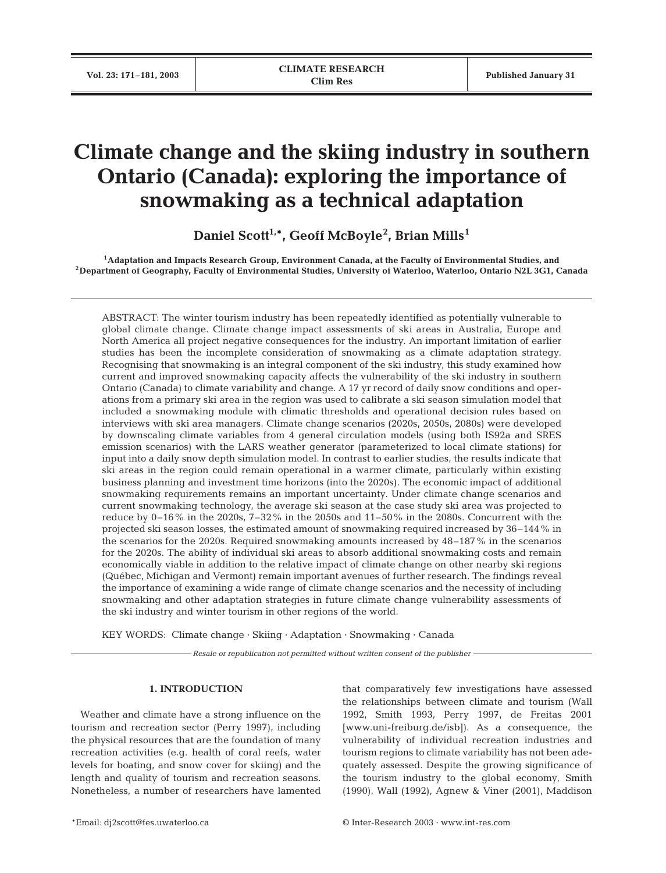# **Climate change and the skiing industry in southern Ontario (Canada): exploring the importance of snowmaking as a technical adaptation**

**Daniel Scott1,\*, Geoff McBoyle2 , Brian Mills<sup>1</sup>**

<sup>1</sup>Adaptation and Impacts Research Group, Environment Canada, at the Faculty of Environmental Studies, and<br><sup>2</sup>Department of Geography, Faculty of Environmental Studies, University of Waterloo, Waterloo, Ontario N2L 3G1, Ca

ABSTRACT: The winter tourism industry has been repeatedly identified as potentially vulnerable to global climate change. Climate change impact assessments of ski areas in Australia, Europe and North America all project negative consequences for the industry. An important limitation of earlier studies has been the incomplete consideration of snowmaking as a climate adaptation strategy. Recognising that snowmaking is an integral component of the ski industry, this study examined how current and improved snowmaking capacity affects the vulnerability of the ski industry in southern Ontario (Canada) to climate variability and change. A 17 yr record of daily snow conditions and operations from a primary ski area in the region was used to calibrate a ski season simulation model that included a snowmaking module with climatic thresholds and operational decision rules based on interviews with ski area managers. Climate change scenarios (2020s, 2050s, 2080s) were developed by downscaling climate variables from 4 general circulation models (using both IS92a and SRES emission scenarios) with the LARS weather generator (parameterized to local climate stations) for input into a daily snow depth simulation model. In contrast to earlier studies, the results indicate that ski areas in the region could remain operational in a warmer climate, particularly within existing business planning and investment time horizons (into the 2020s). The economic impact of additional snowmaking requirements remains an important uncertainty. Under climate change scenarios and current snowmaking technology, the average ski season at the case study ski area was projected to reduce by  $0-16\%$  in the 2020s,  $7-32\%$  in the 2050s and  $11-50\%$  in the 2080s. Concurrent with the projected ski season losses, the estimated amount of snowmaking required increased by 36–144% in the scenarios for the 2020s. Required snowmaking amounts increased by 48–187% in the scenarios for the 2020s. The ability of individual ski areas to absorb additional snowmaking costs and remain economically viable in addition to the relative impact of climate change on other nearby ski regions (Québec, Michigan and Vermont) remain important avenues of further research. The findings reveal the importance of examining a wide range of climate change scenarios and the necessity of including snowmaking and other adaptation strategies in future climate change vulnerability assessments of the ski industry and winter tourism in other regions of the world.

KEY WORDS: Climate change · Skiing · Adaptation · Snowmaking · Canada

*Resale or republication not permitted without written consent of the publisher*

## **1. INTRODUCTION**

Weather and climate have a strong influence on the tourism and recreation sector (Perry 1997), including the physical resources that are the foundation of many recreation activities (e.g. health of coral reefs, water levels for boating, and snow cover for skiing) and the length and quality of tourism and recreation seasons. Nonetheless, a number of researchers have lamented that comparatively few investigations have assessed the relationships between climate and tourism (Wall 1992, Smith 1993, Perry 1997, de Freitas 2001 [www.uni-freiburg.de/isb]). As a consequence, the vulnerability of individual recreation industries and tourism regions to climate variability has not been adequately assessed. Despite the growing significance of the tourism industry to the global economy, Smith (1990), Wall (1992), Agnew & Viner (2001), Maddison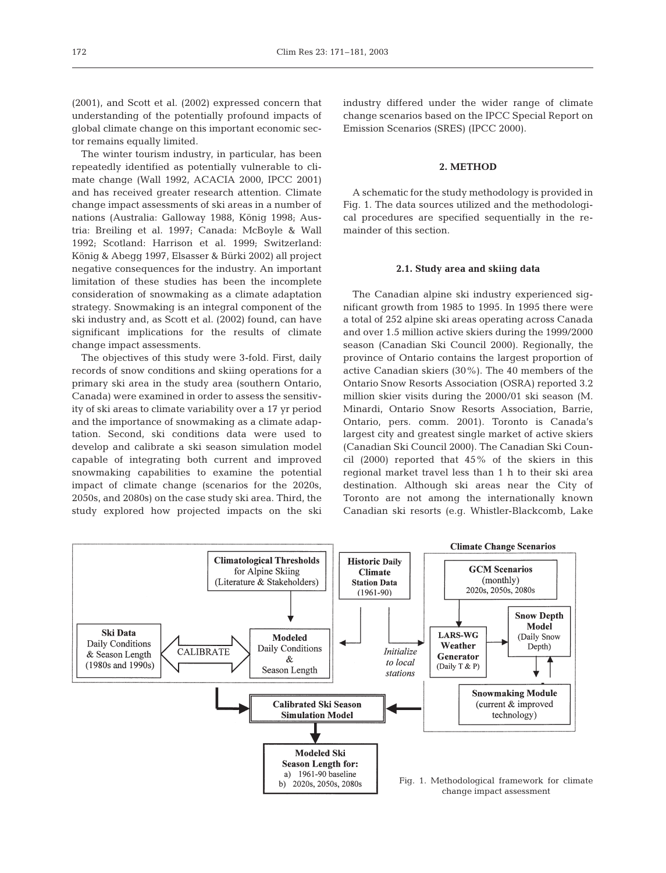(2001), and Scott et al. (2002) expressed concern that understanding of the potentially profound impacts of global climate change on this important economic sector remains equally limited.

The winter tourism industry, in particular, has been repeatedly identified as potentially vulnerable to climate change (Wall 1992, ACACIA 2000, IPCC 2001) and has received greater research attention. Climate change impact assessments of ski areas in a number of nations (Australia: Galloway 1988, König 1998; Austria: Breiling et al. 1997; Canada: McBoyle & Wall 1992; Scotland: Harrison et al. 1999; Switzerland: König & Abegg 1997, Elsasser & Bürki 2002) all project negative consequences for the industry. An important limitation of these studies has been the incomplete consideration of snowmaking as a climate adaptation strategy. Snowmaking is an integral component of the ski industry and, as Scott et al. (2002) found, can have significant implications for the results of climate change impact assessments.

The objectives of this study were 3-fold. First, daily records of snow conditions and skiing operations for a primary ski area in the study area (southern Ontario, Canada) were examined in order to assess the sensitivity of ski areas to climate variability over a 17 yr period and the importance of snowmaking as a climate adaptation. Second, ski conditions data were used to develop and calibrate a ski season simulation model capable of integrating both current and improved snowmaking capabilities to examine the potential impact of climate change (scenarios for the 2020s, 2050s, and 2080s) on the case study ski area. Third, the study explored how projected impacts on the ski industry differed under the wider range of climate change scenarios based on the IPCC Special Report on Emission Scenarios (SRES) (IPCC 2000).

## **2. METHOD**

A schematic for the study methodology is provided in Fig. 1. The data sources utilized and the methodological procedures are specified sequentially in the remainder of this section.

#### **2.1. Study area and skiing data**

The Canadian alpine ski industry experienced significant growth from 1985 to 1995. In 1995 there were a total of 252 alpine ski areas operating across Canada and over 1.5 million active skiers during the 1999/2000 season (Canadian Ski Council 2000). Regionally, the province of Ontario contains the largest proportion of active Canadian skiers (30%). The 40 members of the Ontario Snow Resorts Association (OSRA) reported 3.2 million skier visits during the 2000/01 ski season (M. Minardi, Ontario Snow Resorts Association, Barrie, Ontario, pers. comm. 2001). Toronto is Canada's largest city and greatest single market of active skiers (Canadian Ski Council 2000). The Canadian Ski Council (2000) reported that 45% of the skiers in this regional market travel less than 1 h to their ski area destination. Although ski areas near the City of Toronto are not among the internationally known Canadian ski resorts (e.g. Whistler-Blackcomb, Lake

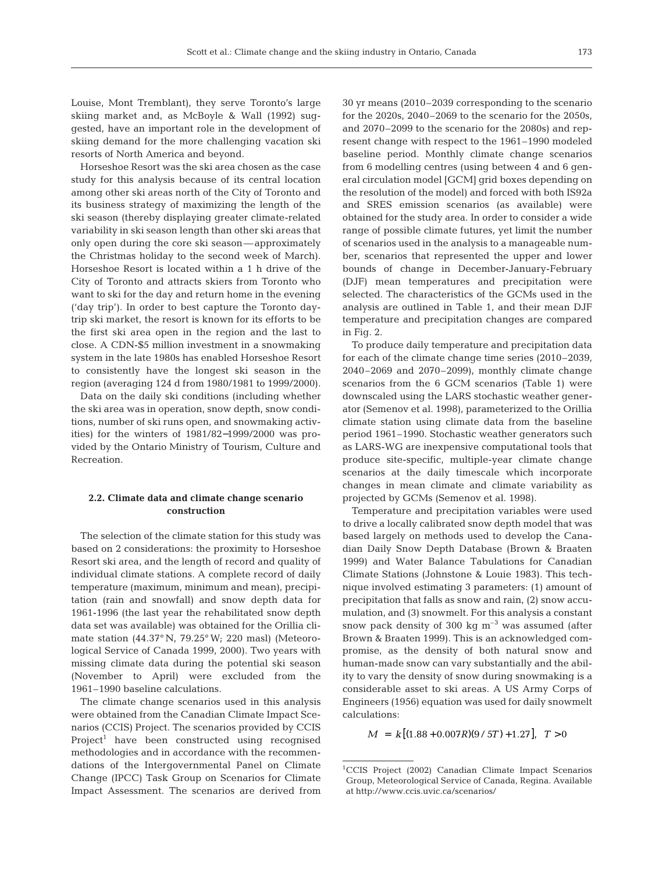Louise, Mont Tremblant), they serve Toronto's large skiing market and, as McBoyle & Wall (1992) suggested, have an important role in the development of skiing demand for the more challenging vacation ski resorts of North America and beyond.

Horseshoe Resort was the ski area chosen as the case study for this analysis because of its central location among other ski areas north of the City of Toronto and its business strategy of maximizing the length of the ski season (thereby displaying greater climate-related variability in ski season length than other ski areas that only open during the core ski season—approximately the Christmas holiday to the second week of March). Horseshoe Resort is located within a 1 h drive of the City of Toronto and attracts skiers from Toronto who want to ski for the day and return home in the evening ('day trip'). In order to best capture the Toronto daytrip ski market, the resort is known for its efforts to be the first ski area open in the region and the last to close. A CDN-\$5 million investment in a snowmaking system in the late 1980s has enabled Horseshoe Resort to consistently have the longest ski season in the region (averaging 124 d from 1980/1981 to 1999/2000).

Data on the daily ski conditions (including whether the ski area was in operation, snow depth, snow conditions, number of ski runs open, and snowmaking activities) for the winters of 1981/82−1999/2000 was provided by the Ontario Ministry of Tourism, Culture and Recreation.

## **2.2. Climate data and climate change scenario construction**

The selection of the climate station for this study was based on 2 considerations: the proximity to Horseshoe Resort ski area, and the length of record and quality of individual climate stations. A complete record of daily temperature (maximum, minimum and mean), precipitation (rain and snowfall) and snow depth data for 1961-1996 (the last year the rehabilitated snow depth data set was available) was obtained for the Orillia climate station (44.37° N, 79.25° W; 220 masl) (Meteorological Service of Canada 1999, 2000). Two years with missing climate data during the potential ski season (November to April) were excluded from the 1961–1990 baseline calculations.

The climate change scenarios used in this analysis were obtained from the Canadian Climate Impact Scenarios (CCIS) Project. The scenarios provided by CCIS Project<sup>1</sup> have been constructed using recognised methodologies and in accordance with the recommendations of the Intergovernmental Panel on Climate Change (IPCC) Task Group on Scenarios for Climate Impact Assessment. The scenarios are derived from

30 yr means (2010–2039 corresponding to the scenario for the 2020s, 2040–2069 to the scenario for the 2050s, and 2070–2099 to the scenario for the 2080s) and represent change with respect to the 1961–1990 modeled baseline period. Monthly climate change scenarios from 6 modelling centres (using between 4 and 6 general circulation model [GCM] grid boxes depending on the resolution of the model) and forced with both IS92a and SRES emission scenarios (as available) were obtained for the study area. In order to consider a wide range of possible climate futures, yet limit the number of scenarios used in the analysis to a manageable number, scenarios that represented the upper and lower bounds of change in December-January-February (DJF) mean temperatures and precipitation were selected. The characteristics of the GCMs used in the analysis are outlined in Table 1, and their mean DJF temperature and precipitation changes are compared in Fig. 2.

To produce daily temperature and precipitation data for each of the climate change time series (2010–2039, 2040–2069 and 2070–2099), monthly climate change scenarios from the 6 GCM scenarios (Table 1) were downscaled using the LARS stochastic weather generator (Semenov et al. 1998), parameterized to the Orillia climate station using climate data from the baseline period 1961–1990. Stochastic weather generators such as LARS-WG are inexpensive computational tools that produce site-specific, multiple-year climate change scenarios at the daily timescale which incorporate changes in mean climate and climate variability as projected by GCMs (Semenov et al. 1998).

Temperature and precipitation variables were used to drive a locally calibrated snow depth model that was based largely on methods used to develop the Canadian Daily Snow Depth Database (Brown & Braaten 1999) and Water Balance Tabulations for Canadian Climate Stations (Johnstone & Louie 1983). This technique involved estimating 3 parameters: (1) amount of precipitation that falls as snow and rain, (2) snow accumulation, and (3) snowmelt. For this analysis a constant snow pack density of 300 kg  $\mathrm{m}^{-3}$  was assumed (after Brown & Braaten 1999). This is an acknowledged compromise, as the density of both natural snow and human-made snow can vary substantially and the ability to vary the density of snow during snowmaking is a considerable asset to ski areas. A US Army Corps of Engineers (1956) equation was used for daily snowmelt calculations:

 $M = k [(1.88 + 0.007R)(9/5T) + 1.27], T > 0.$ 

<sup>1</sup>CCIS Project (2002) Canadian Climate Impact Scenarios Group, Meteorological Service of Canada, Regina. Available at http://www.ccis.uvic.ca/scenarios/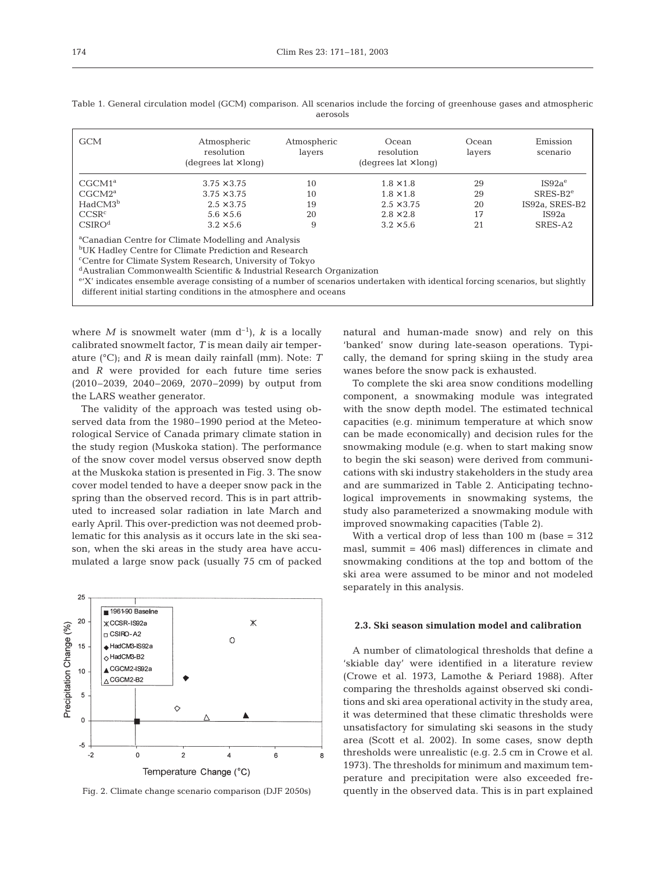| <b>GCM</b>          | Atmospheric<br>resolution<br>(degrees $lat \times long$ ) | Atmospheric<br>layers | Ocean<br>resolution<br>(degrees $lat \times long$ ) | Ocean<br>layers | Emission<br>scenario |
|---------------------|-----------------------------------------------------------|-----------------------|-----------------------------------------------------|-----------------|----------------------|
| CGCM1 <sup>a</sup>  | $3.75 \times 3.75$                                        | 10                    | $1.8 \times 1.8$                                    | 29              | IS92a <sup>e</sup>   |
| CGCM2 <sup>a</sup>  | $3.75 \times 3.75$                                        | 10                    | $1.8 \times 1.8$                                    | 29              | $SRES-B2e$           |
| HadCM3 <sup>b</sup> | $2.5 \times 3.75$                                         | 19                    | $2.5 \times 3.75$                                   | 20              | IS92a, SRES-B2       |
| CCSR <sup>c</sup>   | $5.6 \times 5.6$                                          | 20                    | $2.8 \times 2.8$                                    | 17              | IS92a                |
| CSIRO <sup>d</sup>  | $3.2 \times 5.6$                                          | 9                     | $3.2 \times 5.6$                                    | 21              | SRES-A2              |

Table 1. General circulation model (GCM) comparison. All scenarios include the forcing of greenhouse gases and atmospheric aerosols

<sup>a</sup>Canadian Centre for Climate Modelling and Analysis

bUK Hadley Centre for Climate Prediction and Research

c Centre for Climate System Research, University of Tokyo

<sup>d</sup>Australian Commonwealth Scientific & Industrial Research Organization

<sup>e</sup>'X' indicates ensemble average consisting of a number of scenarios undertaken with identical forcing scenarios, but slightly different initial starting conditions in the atmosphere and oceans

where *M* is snowmelt water (mm  $d^{-1}$ ), *k* is a locally calibrated snowmelt factor, *T* is mean daily air temperature (°C); and *R* is mean daily rainfall (mm). Note: *T* and *R* were provided for each future time series (2010–2039, 2040–2069, 2070–2099) by output from the LARS weather generator.

The validity of the approach was tested using observed data from the 1980–1990 period at the Meteorological Service of Canada primary climate station in the study region (Muskoka station). The performance of the snow cover model versus observed snow depth at the Muskoka station is presented in Fig. 3. The snow cover model tended to have a deeper snow pack in the spring than the observed record. This is in part attributed to increased solar radiation in late March and early April. This over-prediction was not deemed problematic for this analysis as it occurs late in the ski season, when the ski areas in the study area have accumulated a large snow pack (usually 75 cm of packed



Fig. 2. Climate change scenario comparison (DJF 2050s)

natural and human-made snow) and rely on this 'banked' snow during late-season operations. Typically, the demand for spring skiing in the study area wanes before the snow pack is exhausted.

To complete the ski area snow conditions modelling component, a snowmaking module was integrated with the snow depth model. The estimated technical capacities (e.g. minimum temperature at which snow can be made economically) and decision rules for the snowmaking module (e.g. when to start making snow to begin the ski season) were derived from communications with ski industry stakeholders in the study area and are summarized in Table 2. Anticipating technological improvements in snowmaking systems, the study also parameterized a snowmaking module with improved snowmaking capacities (Table 2).

With a vertical drop of less than  $100 \text{ m}$  (base =  $312$ ) masl, summit = 406 masl) differences in climate and snowmaking conditions at the top and bottom of the ski area were assumed to be minor and not modeled separately in this analysis.

### **2.3. Ski season simulation model and calibration**

A number of climatological thresholds that define a 'skiable day' were identified in a literature review (Crowe et al. 1973, Lamothe & Periard 1988). After comparing the thresholds against observed ski conditions and ski area operational activity in the study area, it was determined that these climatic thresholds were unsatisfactory for simulating ski seasons in the study area (Scott et al. 2002). In some cases, snow depth thresholds were unrealistic (e.g. 2.5 cm in Crowe et al. 1973). The thresholds for minimum and maximum temperature and precipitation were also exceeded frequently in the observed data. This is in part explained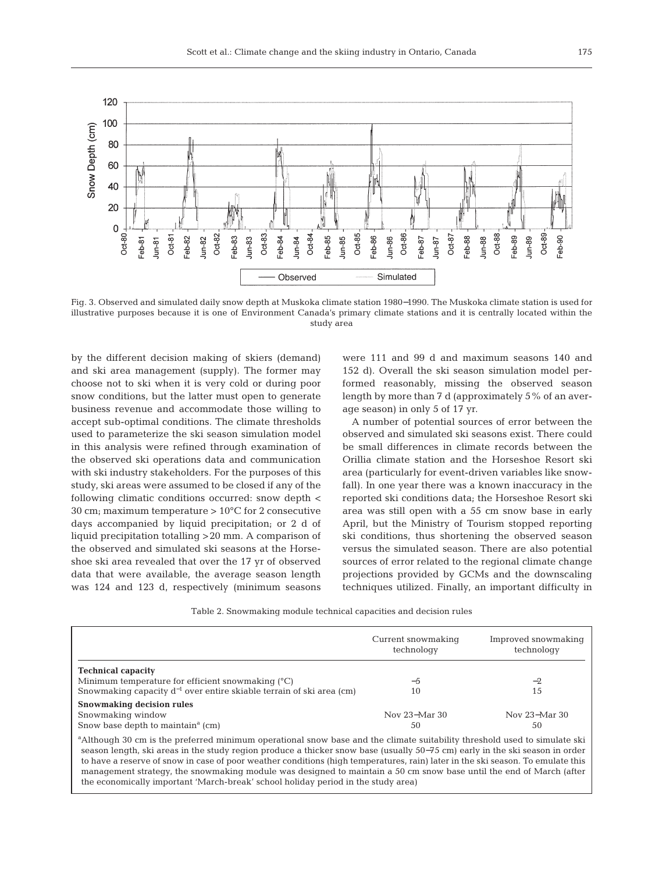

Fig. 3. Observed and simulated daily snow depth at Muskoka climate station 1980−1990. The Muskoka climate station is used for illustrative purposes because it is one of Environment Canada's primary climate stations and it is centrally located within the study area

by the different decision making of skiers (demand) and ski area management (supply). The former may choose not to ski when it is very cold or during poor snow conditions, but the latter must open to generate business revenue and accommodate those willing to accept sub-optimal conditions. The climate thresholds used to parameterize the ski season simulation model in this analysis were refined through examination of the observed ski operations data and communication with ski industry stakeholders. For the purposes of this study, ski areas were assumed to be closed if any of the following climatic conditions occurred: snow depth < 30 cm; maximum temperature  $> 10^{\circ}$ C for 2 consecutive days accompanied by liquid precipitation; or 2 d of liquid precipitation totalling >20 mm. A comparison of the observed and simulated ski seasons at the Horseshoe ski area revealed that over the 17 yr of observed data that were available, the average season length was 124 and 123 d, respectively (minimum seasons

were 111 and 99 d and maximum seasons 140 and 152 d). Overall the ski season simulation model performed reasonably, missing the observed season length by more than 7 d (approximately 5% of an average season) in only 5 of 17 yr.

A number of potential sources of error between the observed and simulated ski seasons exist. There could be small differences in climate records between the Orillia climate station and the Horseshoe Resort ski area (particularly for event-driven variables like snowfall). In one year there was a known inaccuracy in the reported ski conditions data; the Horseshoe Resort ski area was still open with a 55 cm snow base in early April, but the Ministry of Tourism stopped reporting ski conditions, thus shortening the observed season versus the simulated season. There are also potential sources of error related to the regional climate change projections provided by GCMs and the downscaling techniques utilized. Finally, an important difficulty in

Table 2. Snowmaking module technical capacities and decision rules

|                                                                           | Current snowmaking<br>technology | Improved snowmaking<br>technology |  |
|---------------------------------------------------------------------------|----------------------------------|-----------------------------------|--|
| <b>Technical capacity</b>                                                 |                                  |                                   |  |
| Minimum temperature for efficient snowmaking $(°C)$                       | $-5$                             | $-2$                              |  |
| Snowmaking capacity $d^{-1}$ over entire skiable terrain of ski area (cm) | 10                               | 15                                |  |
| Snowmaking decision rules                                                 |                                  |                                   |  |
| Snowmaking window                                                         | Nov 23–Mar 30                    | Nov 23–Mar 30                     |  |
| Snow base depth to maintain <sup><math>a</math></sup> (cm)                | 50                               | 50                                |  |

<sup>a</sup> Although 30 cm is the preferred minimum operational snow base and the climate suitability threshold used to simulate ski season length, ski areas in the study region produce a thicker snow base (usually 50−75 cm) early in the ski season in order to have a reserve of snow in case of poor weather conditions (high temperatures, rain) later in the ski season. To emulate this management strategy, the snowmaking module was designed to maintain a 50 cm snow base until the end of March (after the economically important 'March-break' school holiday period in the study area)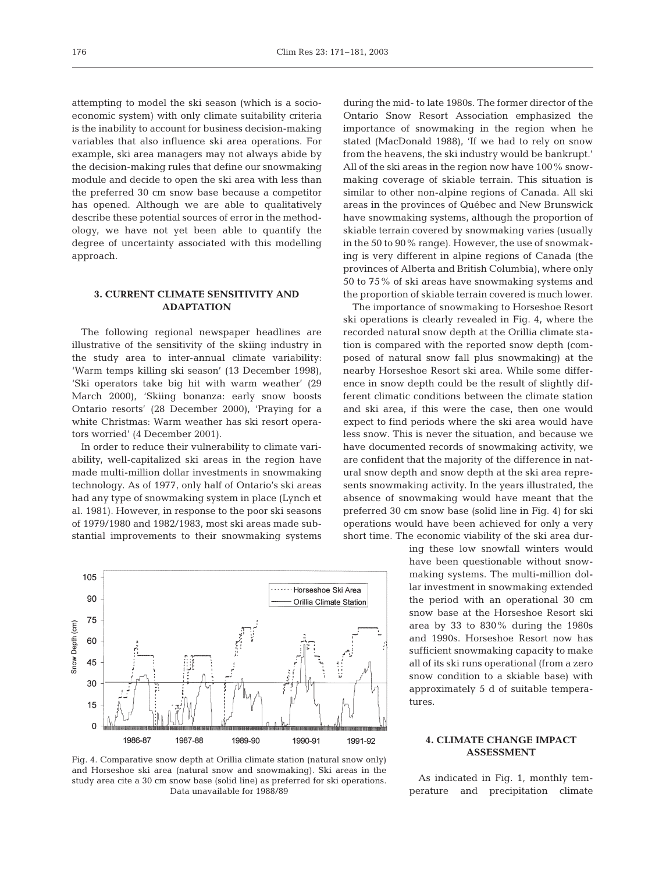attempting to model the ski season (which is a socioeconomic system) with only climate suitability criteria is the inability to account for business decision-making variables that also influence ski area operations. For example, ski area managers may not always abide by the decision-making rules that define our snowmaking module and decide to open the ski area with less than the preferred 30 cm snow base because a competitor has opened. Although we are able to qualitatively describe these potential sources of error in the methodology, we have not yet been able to quantify the degree of uncertainty associated with this modelling approach.

## **3. CURRENT CLIMATE SENSITIVITY AND ADAPTATION**

The following regional newspaper headlines are illustrative of the sensitivity of the skiing industry in the study area to inter-annual climate variability: 'Warm temps killing ski season' (13 December 1998), 'Ski operators take big hit with warm weather' (29 March 2000), 'Skiing bonanza: early snow boosts Ontario resorts' (28 December 2000), 'Praying for a white Christmas: Warm weather has ski resort operators worried' (4 December 2001).

In order to reduce their vulnerability to climate variability, well-capitalized ski areas in the region have made multi-million dollar investments in snowmaking technology. As of 1977, only half of Ontario's ski areas had any type of snowmaking system in place (Lynch et al. 1981). However, in response to the poor ski seasons of 1979/1980 and 1982/1983, most ski areas made substantial improvements to their snowmaking systems



Fig. 4. Comparative snow depth at Orillia climate station (natural snow only) and Horseshoe ski area (natural snow and snowmaking). Ski areas in the study area cite a 30 cm snow base (solid line) as preferred for ski operations. Data unavailable for 1988/89

during the mid- to late 1980s. The former director of the Ontario Snow Resort Association emphasized the importance of snowmaking in the region when he stated (MacDonald 1988), 'If we had to rely on snow from the heavens, the ski industry would be bankrupt.' All of the ski areas in the region now have 100% snowmaking coverage of skiable terrain. This situation is similar to other non-alpine regions of Canada. All ski areas in the provinces of Québec and New Brunswick have snowmaking systems, although the proportion of skiable terrain covered by snowmaking varies (usually in the 50 to 90% range). However, the use of snowmaking is very different in alpine regions of Canada (the provinces of Alberta and British Columbia), where only 50 to 75% of ski areas have snowmaking systems and the proportion of skiable terrain covered is much lower.

The importance of snowmaking to Horseshoe Resort ski operations is clearly revealed in Fig. 4, where the recorded natural snow depth at the Orillia climate station is compared with the reported snow depth (composed of natural snow fall plus snowmaking) at the nearby Horseshoe Resort ski area. While some difference in snow depth could be the result of slightly different climatic conditions between the climate station and ski area, if this were the case, then one would expect to find periods where the ski area would have less snow. This is never the situation, and because we have documented records of snowmaking activity, we are confident that the majority of the difference in natural snow depth and snow depth at the ski area represents snowmaking activity. In the years illustrated, the absence of snowmaking would have meant that the preferred 30 cm snow base (solid line in Fig. 4) for ski operations would have been achieved for only a very short time. The economic viability of the ski area dur-

> ing these low snowfall winters would have been questionable without snowmaking systems. The multi-million dollar investment in snowmaking extended the period with an operational 30 cm snow base at the Horseshoe Resort ski area by 33 to 830% during the 1980s and 1990s. Horseshoe Resort now has sufficient snowmaking capacity to make all of its ski runs operational (from a zero snow condition to a skiable base) with approximately 5 d of suitable temperatures.

## **4. CLIMATE CHANGE IMPACT ASSESSMENT**

As indicated in Fig. 1, monthly temperature and precipitation climate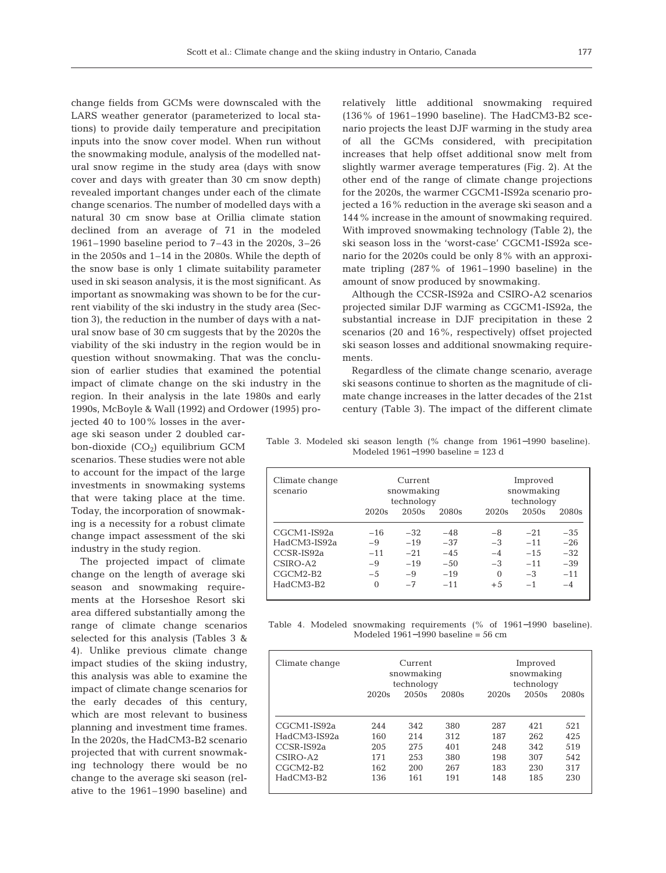change fields from GCMs were downscaled with the LARS weather generator (parameterized to local stations) to provide daily temperature and precipitation inputs into the snow cover model. When run without the snowmaking module, analysis of the modelled natural snow regime in the study area (days with snow cover and days with greater than 30 cm snow depth) revealed important changes under each of the climate change scenarios. The number of modelled days with a natural 30 cm snow base at Orillia climate station declined from an average of 71 in the modeled 1961–1990 baseline period to 7–43 in the 2020s, 3–26 in the 2050s and 1–14 in the 2080s. While the depth of the snow base is only 1 climate suitability parameter used in ski season analysis, it is the most significant. As important as snowmaking was shown to be for the current viability of the ski industry in the study area (Section 3), the reduction in the number of days with a natural snow base of 30 cm suggests that by the 2020s the viability of the ski industry in the region would be in question without snowmaking. That was the conclusion of earlier studies that examined the potential impact of climate change on the ski industry in the region. In their analysis in the late 1980s and early 1990s, McBoyle & Wall (1992) and Ordower (1995) pro-

jected 40 to 100% losses in the average ski season under 2 doubled carbon-dioxide  $(CO<sub>2</sub>)$  equilibrium GCM scenarios. These studies were not able to account for the impact of the large investments in snowmaking systems that were taking place at the time. Today, the incorporation of snowmaking is a necessity for a robust climate change impact assessment of the ski industry in the study region.

The projected impact of climate change on the length of average ski season and snowmaking requirements at the Horseshoe Resort ski area differed substantially among the range of climate change scenarios selected for this analysis (Tables 3 & 4). Unlike previous climate change impact studies of the skiing industry, this analysis was able to examine the impact of climate change scenarios for the early decades of this century, which are most relevant to business planning and investment time frames. In the 2020s, the HadCM3-B2 scenario projected that with current snowmaking technology there would be no change to the average ski season (relative to the 1961–1990 baseline) and

relatively little additional snowmaking required (136% of 1961–1990 baseline). The HadCM3-B2 scenario projects the least DJF warming in the study area of all the GCMs considered, with precipitation increases that help offset additional snow melt from slightly warmer average temperatures (Fig. 2). At the other end of the range of climate change projections for the 2020s, the warmer CGCM1-IS92a scenario projected a 16% reduction in the average ski season and a 144% increase in the amount of snowmaking required. With improved snowmaking technology (Table 2), the ski season loss in the 'worst-case' CGCM1-IS92a scenario for the 2020s could be only 8% with an approximate tripling (287% of 1961–1990 baseline) in the amount of snow produced by snowmaking.

Although the CCSR-IS92a and CSIRO-A2 scenarios projected similar DJF warming as CGCM1-IS92a, the substantial increase in DJF precipitation in these 2 scenarios (20 and 16%, respectively) offset projected ski season losses and additional snowmaking requirements.

Regardless of the climate change scenario, average ski seasons continue to shorten as the magnitude of climate change increases in the latter decades of the 21st century (Table 3). The impact of the different climate

Table 3. Modeled ski season length (% change from 1961−1990 baseline). Modeled 1961−1990 baseline = 123 d

| Climate change<br>scenario | Current<br>snowmaking<br>technology |        |        | Improved<br>snowmaking<br>technology |        |       |  |
|----------------------------|-------------------------------------|--------|--------|--------------------------------------|--------|-------|--|
|                            | 2020s                               | 20.50s | 2080s  | 2020s                                | 2050s  | 2080s |  |
| CGCM1-IS92a                | $-16$                               | $-32$  | $-48$  | -8                                   | $-21$  | $-35$ |  |
| HadCM3-IS92a               | -9                                  | $-19$  | $-37$  | $-3$                                 | $-11$  | $-26$ |  |
| $CCSR$ - $IS92a$           | $-11$                               | $-21$  | $-4.5$ | $-4$                                 | $-1.5$ | $-32$ |  |
| $CSIRO-A2$                 | -9                                  | $-19$  | $-50$  | $-3$                                 | $-11$  | $-39$ |  |
| $CGCM2-B2$                 | $-5$                                | -9     | $-19$  | $\Omega$                             | $-3$   | $-11$ |  |
| HadCM3-B2                  | $\Omega$                            | $-7$   | $-11$  | $+5$                                 | $-1$   | $-4$  |  |

Table 4. Modeled snowmaking requirements (% of 1961−1990 baseline). Modeled 1961−1990 baseline = 56 cm

| Climate change                              | Current<br>snowmaking<br>technology |                    |                   | Improved<br>snowmaking<br>technology |                   |                   |
|---------------------------------------------|-------------------------------------|--------------------|-------------------|--------------------------------------|-------------------|-------------------|
|                                             | 2020s                               | 20.50s             | 2080s             | 2020s                                | 20.50s            | 2080s             |
| CGCM1-IS92a<br>HadCM3-IS92a<br>$CCSR-IS92a$ | 244<br>160<br>205                   | 342<br>2.14<br>275 | 380<br>312<br>401 | 287<br>187<br>248                    | 421<br>262<br>342 | 521<br>425<br>519 |
| $CSIRO-42$                                  | 171                                 | 2.53               | 380               | 198                                  | 307               | 542               |
| $CGCM2-B2$                                  | 162                                 | 200                | 267               | 183                                  | 230               | 317               |
| HadCM3-B2                                   | 136                                 | 161                | 191               | 148                                  | 185               | 230               |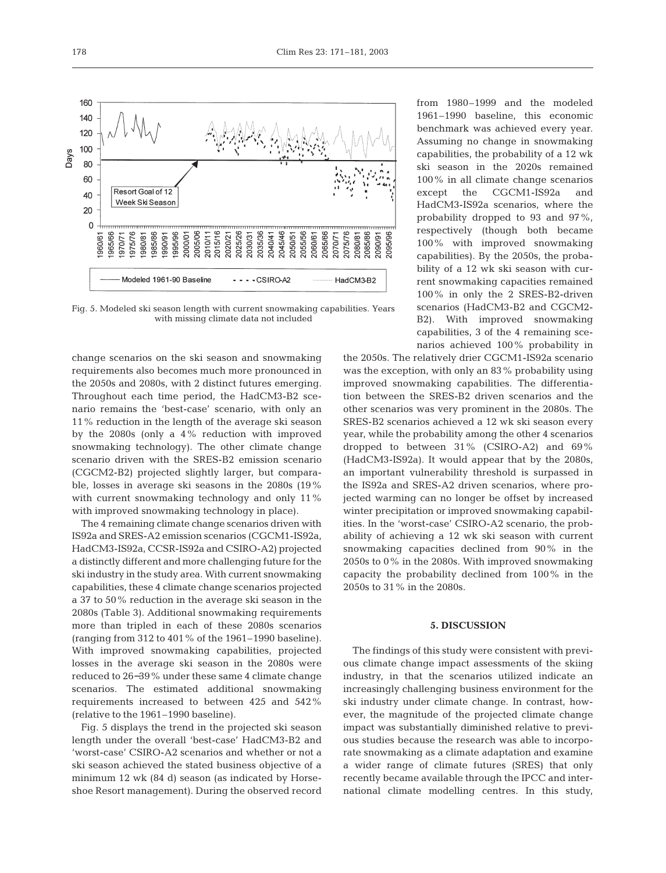

Fig. 5. Modeled ski season length with current snowmaking capabilities. Years with missing climate data not included

change scenarios on the ski season and snowmaking requirements also becomes much more pronounced in the 2050s and 2080s, with 2 distinct futures emerging. Throughout each time period, the HadCM3-B2 scenario remains the 'best-case' scenario, with only an 11% reduction in the length of the average ski season by the 2080s (only a 4% reduction with improved snowmaking technology). The other climate change scenario driven with the SRES-B2 emission scenario (CGCM2-B2) projected slightly larger, but comparable, losses in average ski seasons in the 2080s (19% with current snowmaking technology and only 11% with improved snowmaking technology in place).

The 4 remaining climate change scenarios driven with IS92a and SRES-A2 emission scenarios (CGCM1-IS92a, HadCM3-IS92a, CCSR-IS92a and CSIRO-A2) projected a distinctly different and more challenging future for the ski industry in the study area. With current snowmaking capabilities, these 4 climate change scenarios projected a 37 to 50% reduction in the average ski season in the 2080s (Table 3). Additional snowmaking requirements more than tripled in each of these 2080s scenarios (ranging from 312 to 401% of the 1961–1990 baseline). With improved snowmaking capabilities, projected losses in the average ski season in the 2080s were reduced to 26−39% under these same 4 climate change scenarios. The estimated additional snowmaking requirements increased to between 425 and 542% (relative to the 1961–1990 baseline).

Fig. 5 displays the trend in the projected ski season length under the overall 'best-case' HadCM3-B2 and 'worst-case' CSIRO-A2 scenarios and whether or not a ski season achieved the stated business objective of a minimum 12 wk (84 d) season (as indicated by Horseshoe Resort management). During the observed record

from 1980–1999 and the modeled 1961–1990 baseline, this economic benchmark was achieved every year. Assuming no change in snowmaking capabilities, the probability of a 12 wk ski season in the 2020s remained 100% in all climate change scenarios except the CGCM1-IS92a and HadCM3-IS92a scenarios, where the probability dropped to 93 and 97%, respectively (though both became 100% with improved snowmaking capabilities). By the 2050s, the probability of a 12 wk ski season with current snowmaking capacities remained 100% in only the 2 SRES-B2-driven scenarios (HadCM3-B2 and CGCM2- B2). With improved snowmaking capabilities, 3 of the 4 remaining scenarios achieved 100% probability in

the 2050s. The relatively drier CGCM1-IS92a scenario was the exception, with only an 83% probability using improved snowmaking capabilities. The differentiation between the SRES-B2 driven scenarios and the other scenarios was very prominent in the 2080s. The SRES-B2 scenarios achieved a 12 wk ski season every year, while the probability among the other 4 scenarios dropped to between 31% (CSIRO-A2) and 69% (HadCM3-IS92a). It would appear that by the 2080s, an important vulnerability threshold is surpassed in the IS92a and SRES-A2 driven scenarios, where projected warming can no longer be offset by increased winter precipitation or improved snowmaking capabilities. In the 'worst-case' CSIRO-A2 scenario, the probability of achieving a 12 wk ski season with current snowmaking capacities declined from 90% in the 2050s to 0% in the 2080s. With improved snowmaking capacity the probability declined from 100% in the 2050s to 31% in the 2080s.

### **5. DISCUSSION**

The findings of this study were consistent with previous climate change impact assessments of the skiing industry, in that the scenarios utilized indicate an increasingly challenging business environment for the ski industry under climate change. In contrast, however, the magnitude of the projected climate change impact was substantially diminished relative to previous studies because the research was able to incorporate snowmaking as a climate adaptation and examine a wider range of climate futures (SRES) that only recently became available through the IPCC and international climate modelling centres. In this study,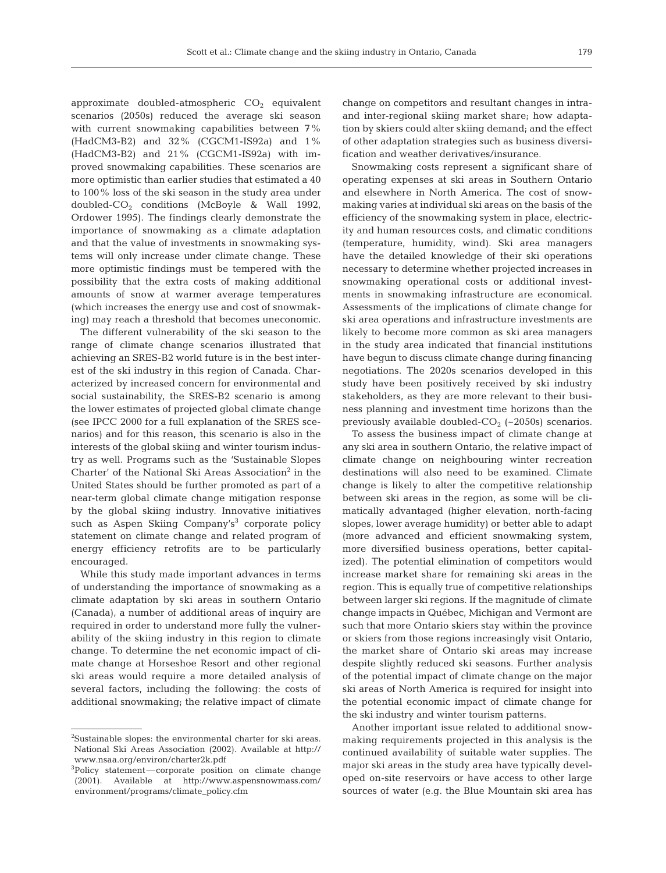approximate doubled-atmospheric  $CO<sub>2</sub>$  equivalent scenarios (2050s) reduced the average ski season with current snowmaking capabilities between 7% (HadCM3-B2) and 32% (CGCM1-IS92a) and 1% (HadCM3-B2) and 21% (CGCM1-IS92a) with improved snowmaking capabilities. These scenarios are more optimistic than earlier studies that estimated a 40 to 100% loss of the ski season in the study area under doubled- $CO<sub>2</sub>$  conditions (McBoyle & Wall 1992, Ordower 1995). The findings clearly demonstrate the importance of snowmaking as a climate adaptation and that the value of investments in snowmaking systems will only increase under climate change. These more optimistic findings must be tempered with the possibility that the extra costs of making additional amounts of snow at warmer average temperatures (which increases the energy use and cost of snowmaking) may reach a threshold that becomes uneconomic.

The different vulnerability of the ski season to the range of climate change scenarios illustrated that achieving an SRES-B2 world future is in the best interest of the ski industry in this region of Canada. Characterized by increased concern for environmental and social sustainability, the SRES-B2 scenario is among the lower estimates of projected global climate change (see IPCC 2000 for a full explanation of the SRES scenarios) and for this reason, this scenario is also in the interests of the global skiing and winter tourism industry as well. Programs such as the 'Sustainable Slopes Charter' of the National Ski Areas Association<sup>2</sup> in the United States should be further promoted as part of a near-term global climate change mitigation response by the global skiing industry. Innovative initiatives such as Aspen Skiing Company's<sup>3</sup> corporate policy statement on climate change and related program of energy efficiency retrofits are to be particularly encouraged.

While this study made important advances in terms of understanding the importance of snowmaking as a climate adaptation by ski areas in southern Ontario (Canada), a number of additional areas of inquiry are required in order to understand more fully the vulnerability of the skiing industry in this region to climate change. To determine the net economic impact of climate change at Horseshoe Resort and other regional ski areas would require a more detailed analysis of several factors, including the following: the costs of additional snowmaking; the relative impact of climate change on competitors and resultant changes in intraand inter-regional skiing market share; how adaptation by skiers could alter skiing demand; and the effect of other adaptation strategies such as business diversification and weather derivatives/insurance.

Snowmaking costs represent a significant share of operating expenses at ski areas in Southern Ontario and elsewhere in North America. The cost of snowmaking varies at individual ski areas on the basis of the efficiency of the snowmaking system in place, electricity and human resources costs, and climatic conditions (temperature, humidity, wind). Ski area managers have the detailed knowledge of their ski operations necessary to determine whether projected increases in snowmaking operational costs or additional investments in snowmaking infrastructure are economical. Assessments of the implications of climate change for ski area operations and infrastructure investments are likely to become more common as ski area managers in the study area indicated that financial institutions have begun to discuss climate change during financing negotiations. The 2020s scenarios developed in this study have been positively received by ski industry stakeholders, as they are more relevant to their business planning and investment time horizons than the previously available doubled- $CO<sub>2</sub>$  (~2050s) scenarios.

To assess the business impact of climate change at any ski area in southern Ontario, the relative impact of climate change on neighbouring winter recreation destinations will also need to be examined. Climate change is likely to alter the competitive relationship between ski areas in the region, as some will be climatically advantaged (higher elevation, north-facing slopes, lower average humidity) or better able to adapt (more advanced and efficient snowmaking system, more diversified business operations, better capitalized). The potential elimination of competitors would increase market share for remaining ski areas in the region. This is equally true of competitive relationships between larger ski regions. If the magnitude of climate change impacts in Québec, Michigan and Vermont are such that more Ontario skiers stay within the province or skiers from those regions increasingly visit Ontario, the market share of Ontario ski areas may increase despite slightly reduced ski seasons. Further analysis of the potential impact of climate change on the major ski areas of North America is required for insight into the potential economic impact of climate change for the ski industry and winter tourism patterns.

Another important issue related to additional snowmaking requirements projected in this analysis is the continued availability of suitable water supplies. The major ski areas in the study area have typically developed on-site reservoirs or have access to other large sources of water (e.g. the Blue Mountain ski area has

<sup>&</sup>lt;sup>2</sup>Sustainable slopes: the environmental charter for ski areas. National Ski Areas Association (2002). Available at http:// www.nsaa.org/environ/charter2k.pdf

<sup>3</sup>Policy statement—corporate position on climate change (2001). Available at http://www.aspensnowmass.com/ environment/programs/climate\_policy.cfm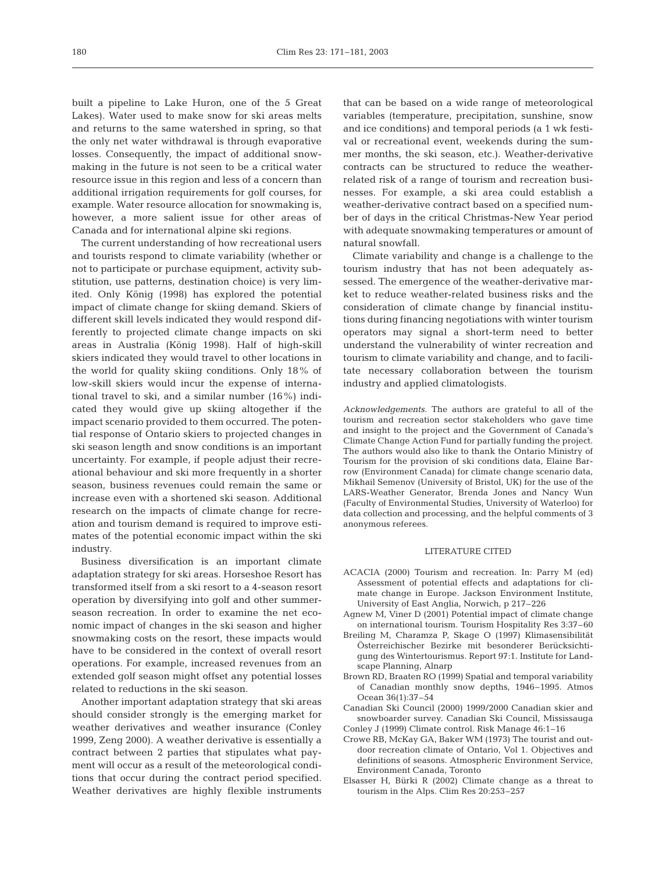built a pipeline to Lake Huron, one of the 5 Great Lakes). Water used to make snow for ski areas melts and returns to the same watershed in spring, so that the only net water withdrawal is through evaporative losses. Consequently, the impact of additional snowmaking in the future is not seen to be a critical water resource issue in this region and less of a concern than additional irrigation requirements for golf courses, for example. Water resource allocation for snowmaking is, however, a more salient issue for other areas of Canada and for international alpine ski regions.

The current understanding of how recreational users and tourists respond to climate variability (whether or not to participate or purchase equipment, activity substitution, use patterns, destination choice) is very limited. Only König (1998) has explored the potential impact of climate change for skiing demand. Skiers of different skill levels indicated they would respond differently to projected climate change impacts on ski areas in Australia (König 1998). Half of high-skill skiers indicated they would travel to other locations in the world for quality skiing conditions. Only 18% of low-skill skiers would incur the expense of international travel to ski, and a similar number (16%) indicated they would give up skiing altogether if the impact scenario provided to them occurred. The potential response of Ontario skiers to projected changes in ski season length and snow conditions is an important uncertainty. For example, if people adjust their recreational behaviour and ski more frequently in a shorter season, business revenues could remain the same or increase even with a shortened ski season. Additional research on the impacts of climate change for recreation and tourism demand is required to improve estimates of the potential economic impact within the ski industry.

Business diversification is an important climate adaptation strategy for ski areas. Horseshoe Resort has transformed itself from a ski resort to a 4-season resort operation by diversifying into golf and other summerseason recreation. In order to examine the net economic impact of changes in the ski season and higher snowmaking costs on the resort, these impacts would have to be considered in the context of overall resort operations. For example, increased revenues from an extended golf season might offset any potential losses related to reductions in the ski season.

Another important adaptation strategy that ski areas should consider strongly is the emerging market for weather derivatives and weather insurance (Conley 1999, Zeng 2000). A weather derivative is essentially a contract between 2 parties that stipulates what payment will occur as a result of the meteorological conditions that occur during the contract period specified. Weather derivatives are highly flexible instruments

that can be based on a wide range of meteorological variables (temperature, precipitation, sunshine, snow and ice conditions) and temporal periods (a 1 wk festival or recreational event, weekends during the summer months, the ski season, etc.). Weather-derivative contracts can be structured to reduce the weatherrelated risk of a range of tourism and recreation businesses. For example, a ski area could establish a weather-derivative contract based on a specified number of days in the critical Christmas-New Year period with adequate snowmaking temperatures or amount of natural snowfall.

Climate variability and change is a challenge to the tourism industry that has not been adequately assessed. The emergence of the weather-derivative market to reduce weather-related business risks and the consideration of climate change by financial institutions during financing negotiations with winter tourism operators may signal a short-term need to better understand the vulnerability of winter recreation and tourism to climate variability and change, and to facilitate necessary collaboration between the tourism industry and applied climatologists.

*Acknowledgements*. The authors are grateful to all of the tourism and recreation sector stakeholders who gave time and insight to the project and the Government of Canada's Climate Change Action Fund for partially funding the project. The authors would also like to thank the Ontario Ministry of Tourism for the provision of ski conditions data, Elaine Barrow (Environment Canada) for climate change scenario data, Mikhail Semenov (University of Bristol, UK) for the use of the LARS-Weather Generator, Brenda Jones and Nancy Wun (Faculty of Environmental Studies, University of Waterloo) for data collection and processing, and the helpful comments of 3 anonymous referees.

#### LITERATURE CITED

- ACACIA (2000) Tourism and recreation. In: Parry M (ed) Assessment of potential effects and adaptations for climate change in Europe. Jackson Environment Institute, University of East Anglia, Norwich, p 217–226
- Agnew M, Viner D (2001) Potential impact of climate change on international tourism. Tourism Hospitality Res 3:37–60
- Breiling M, Charamza P, Skage O (1997) Klimasensibilität Österreichischer Bezirke mit besonderer Berücksichtigung des Wintertourismus. Report 97:1. Institute for Landscape Planning, Alnarp
- Brown RD, Braaten RO (1999) Spatial and temporal variability of Canadian monthly snow depths, 1946–1995. Atmos Ocean 36(1):37–54
- Canadian Ski Council (2000) 1999/2000 Canadian skier and snowboarder survey. Canadian Ski Council, Mississauga Conley J (1999) Climate control. Risk Manage 46:1–16
- Crowe RB, McKay GA, Baker WM (1973) The tourist and outdoor recreation climate of Ontario, Vol 1. Objectives and definitions of seasons. Atmospheric Environment Service, Environment Canada, Toronto
- Elsasser H, Bürki R (2002) Climate change as a threat to tourism in the Alps. Clim Res 20:253–257